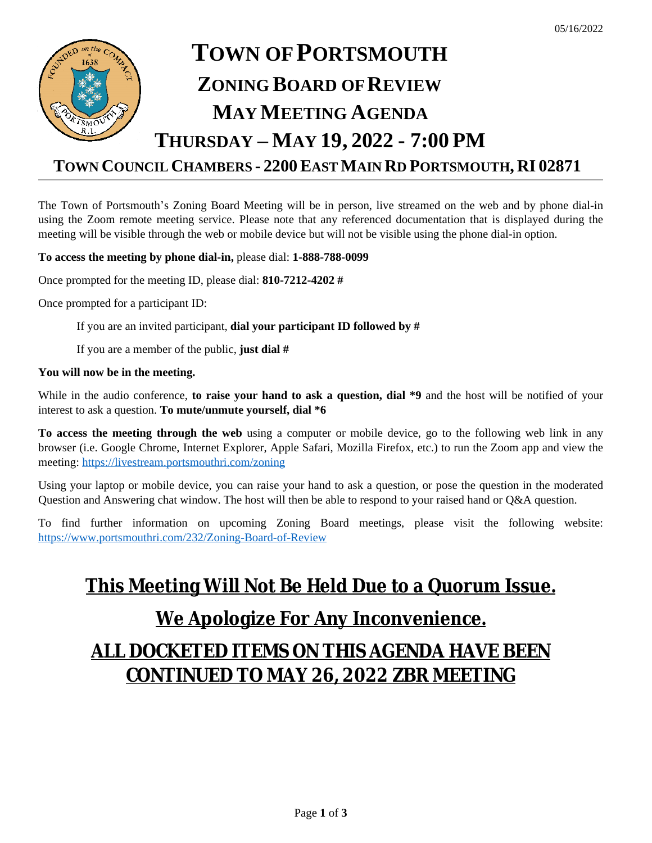05/16/2022

# **TOWN COUNCIL CHAMBERS - 2200EAST MAIN RD PORTSMOUTH, RI 02871**

The Town of Portsmouth's Zoning Board Meeting will be in person, live streamed on the web and by phone dial-in using the Zoom remote meeting service. Please note that any referenced documentation that is displayed during the meeting will be visible through the web or mobile device but will not be visible using the phone dial-in option.

### **To access the meeting by phone dial-in,** please dial: **1-888-788-0099**

Once prompted for the meeting ID, please dial: **810-7212-4202 #**

Once prompted for a participant ID:

If you are an invited participant, **dial your participant ID followed by #**

If you are a member of the public, **just dial #**

### **You will now be in the meeting.**

While in the audio conference, **to raise your hand to ask a question, dial \*9** and the host will be notified of your interest to ask a question. **To mute/unmute yourself, dial \*6**

**To access the meeting through the web** using a computer or mobile device, go to the following web link in any browser (i.e. Google Chrome, Internet Explorer, Apple Safari, Mozilla Firefox, etc.) to run the Zoom app and view the meeting:<https://livestream.portsmouthri.com/zoning>

Using your laptop or mobile device, you can raise your hand to ask a question, or pose the question in the moderated Question and Answering chat window. The host will then be able to respond to your raised hand or Q&A question.

To find further information on upcoming Zoning Board meetings, please visit the following website: <https://www.portsmouthri.com/232/Zoning-Board-of-Review>

# **This Meeting Will Not Be Held Due to a Quorum Issue.**

# **We Apologize For Any Inconvenience.**

# **ALL DOCKETED ITEMS ON THIS AGENDA HAVE BEEN CONTINUED TO MAY 26, 2022 ZBR MEETING**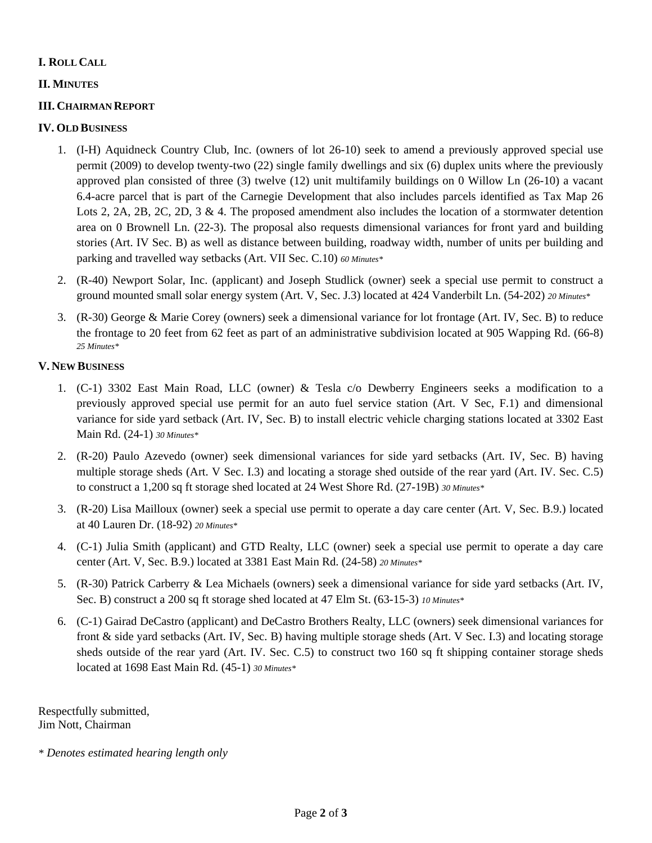# **I. ROLL CALL**

# **II. MINUTES**

## **III. CHAIRMAN REPORT**

### **IV. OLD BUSINESS**

- 1. (I-H) Aquidneck Country Club, Inc. (owners of lot 26-10) seek to amend a previously approved special use permit (2009) to develop twenty-two (22) single family dwellings and six (6) duplex units where the previously approved plan consisted of three (3) twelve (12) unit multifamily buildings on 0 Willow Ln (26-10) a vacant 6.4-acre parcel that is part of the Carnegie Development that also includes parcels identified as Tax Map 26 Lots 2, 2A, 2B, 2C, 2D, 3 & 4. The proposed amendment also includes the location of a stormwater detention area on 0 Brownell Ln. (22-3). The proposal also requests dimensional variances for front yard and building stories (Art. IV Sec. B) as well as distance between building, roadway width, number of units per building and parking and travelled way setbacks (Art. VII Sec. C.10) *60 Minutes\**
- 2. (R-40) Newport Solar, Inc. (applicant) and Joseph Studlick (owner) seek a special use permit to construct a ground mounted small solar energy system (Art. V, Sec. J.3) located at 424 Vanderbilt Ln. (54-202) *20 Minutes\**
- 3. (R-30) George & Marie Corey (owners) seek a dimensional variance for lot frontage (Art. IV, Sec. B) to reduce the frontage to 20 feet from 62 feet as part of an administrative subdivision located at 905 Wapping Rd. (66-8) *25 Minutes\**

### **V. NEW BUSINESS**

- 1. (C-1) 3302 East Main Road, LLC (owner) & Tesla c/o Dewberry Engineers seeks a modification to a previously approved special use permit for an auto fuel service station (Art. V Sec, F.1) and dimensional variance for side yard setback (Art. IV, Sec. B) to install electric vehicle charging stations located at 3302 East Main Rd. (24-1) *30 Minutes\**
- 2. (R-20) Paulo Azevedo (owner) seek dimensional variances for side yard setbacks (Art. IV, Sec. B) having multiple storage sheds (Art. V Sec. I.3) and locating a storage shed outside of the rear yard (Art. IV. Sec. C.5) to construct a 1,200 sq ft storage shed located at 24 West Shore Rd. (27-19B) *30 Minutes\**
- 3. (R-20) Lisa Mailloux (owner) seek a special use permit to operate a day care center (Art. V, Sec. B.9.) located at 40 Lauren Dr. (18-92) *20 Minutes\**
- 4. (C-1) Julia Smith (applicant) and GTD Realty, LLC (owner) seek a special use permit to operate a day care center (Art. V, Sec. B.9.) located at 3381 East Main Rd. (24-58) *20 Minutes\**
- 5. (R-30) Patrick Carberry & Lea Michaels (owners) seek a dimensional variance for side yard setbacks (Art. IV, Sec. B) construct a 200 sq ft storage shed located at 47 Elm St. (63-15-3) *10 Minutes\**
- 6. (C-1) Gairad DeCastro (applicant) and DeCastro Brothers Realty, LLC (owners) seek dimensional variances for front & side yard setbacks (Art. IV, Sec. B) having multiple storage sheds (Art. V Sec. I.3) and locating storage sheds outside of the rear yard (Art. IV. Sec. C.5) to construct two 160 sq ft shipping container storage sheds located at 1698 East Main Rd. (45-1) *30 Minutes\**

Respectfully submitted, Jim Nott, Chairman

*\* Denotes estimated hearing length only*